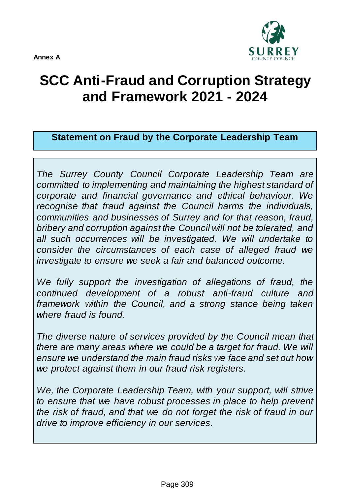

## **SCC Anti-Fraud and Corruption Strategy and Framework 2021 - 2024**

**Statement on Fraud by the Corporate Leadership Team**

*The Surrey County Council Corporate Leadership Team are committed to implementing and maintaining the highest standard of corporate and financial governance and ethical behaviour. We recognise that fraud against the Council harms the individuals, communities and businesses of Surrey and for that reason, fraud, bribery and corruption against the Council will not be tolerated, and all such occurrences will be investigated. We will undertake to consider the circumstances of each case of alleged fraud we investigate to ensure we seek a fair and balanced outcome.*

We fully support the investigation of allegations of fraud, the *continued development of a robust anti-fraud culture and framework within the Council, and a strong stance being taken where fraud is found.*

*The diverse nature of services provided by the Council mean that there are many areas where we could be a target for fraud. We will ensure we understand the main fraud risks we face and set out how we protect against them in our fraud risk registers.*

*We, the Corporate Leadership Team, with your support, will strive to ensure that we have robust processes in place to help prevent the risk of fraud, and that we do not forget the risk of fraud in our drive to improve efficiency in our services.*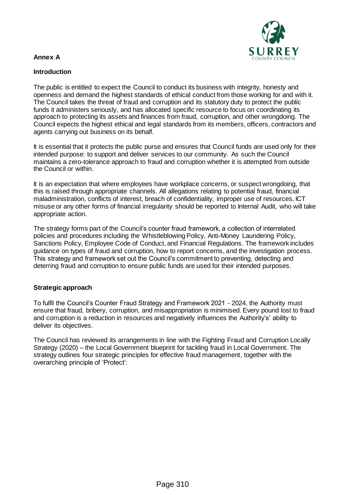# R E Y

### **Annex A**

### **Introduction**

The public is entitled to expect the Council to conduct its business with integrity, honesty and openness and demand the highest standards of ethical conduct from those working for and with it. The Council takes the threat of fraud and corruption and its statutory duty to protect the public funds it administers seriously, and has allocated specific resource to focus on coordinating its approach to protecting its assets and finances from fraud, corruption, and other wrongdoing. The Council expects the highest ethical and legal standards from its members, officers, contractors and agents carrying out business on its behalf.

It is essential that it protects the public purse and ensures that Council funds are used only for their intended purpose: to support and deliver services to our community. As such the Council maintains a zero-tolerance approach to fraud and corruption whether it is attempted from outside the Council or within.

It is an expectation that where employees have workplace concerns, or suspect wrongdoing, that this is raised through appropriate channels. All allegations relating to potential fraud, financial maladministration, conflicts of interest, breach of confidentiality, improper use of resources, ICT misuse or any other forms of financial irregularity should be reported to Internal Audit, who will take appropriate action.

The strategy forms part of the Council's counter fraud framework, a collection of interrelated policies and procedures including the Whistleblowing Policy, Anti-Money Laundering Policy, Sanctions Policy, Employee Code of Conduct, and Financial Regulations. The framework includes guidance on types of fraud and corruption, how to report concerns, and the investigation process. This strategy and framework set out the Council's commitment to preventing, detecting and deterring fraud and corruption to ensure public funds are used for their intended purposes.

### **Strategic approach**

To fulfil the Council's Counter Fraud Strategy and Framework 2021 - 2024, the Authority must ensure that fraud, bribery, corruption, and misappropriation is minimised. Every pound lost to fraud and corruption is a reduction in resources and negatively influences the Authority's' ability to deliver its objectives.

The Council has reviewed its arrangements in line with the Fighting Fraud and Corruption Locally Strategy (2020) – the Local Government blueprint for tackling fraud in Local Government. The strategy outlines four strategic principles for effective fraud management, together with the overarching principle of 'Protect':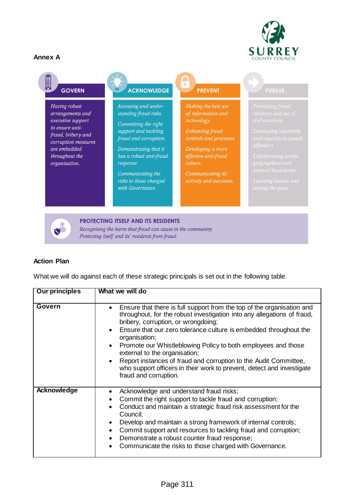圓



### **GOVERN**

Having robust arrangements and executive support to ensure antifraud, bribery and corruption measures are embedded throughout the organisation.

### **ACKNOWLEDGE**

Accessing and understanding fraud risks.

Committing the right support and tackling fraud and corruption.

Demonstrating that it has a robust anti-fraud response.

Communicating the risks to those charged with Governance.

#### $\overline{\mathbf{r}}$ **PREVENT**

Making the best use of information and technology.

**Enhancing fraud** 

Developing a more effective anti-fraud

Communicating its'

### **PURSUE**



PROTECTING ITSELF AND ITS RESIDENTS Recognising the harm that fraud can cause in the community. Protecting itself and its' residents from fraud.

### **Action Plan**

What we will do against each of these strategic principals is set out in the following table.

| <b>Our principles</b> | What we will do                                                                                                                                                                                                                                                                                                                                                                                                                                                                                                                                        |
|-----------------------|--------------------------------------------------------------------------------------------------------------------------------------------------------------------------------------------------------------------------------------------------------------------------------------------------------------------------------------------------------------------------------------------------------------------------------------------------------------------------------------------------------------------------------------------------------|
| Govern                | Ensure that there is full support from the top of the organisation and<br>throughout, for the robust investigation into any allegations of fraud,<br>bribery, corruption, or wrongdoing;<br>Ensure that our zero tolerance culture is embedded throughout the<br>organisation;<br>Promote our Whistleblowing Policy to both employees and those<br>external to the organisation;<br>Report instances of fraud and corruption to the Audit Committee,<br>who support officers in their work to prevent, detect and investigate<br>fraud and corruption. |
| Acknowledge           | Acknowledge and understand fraud risks;<br>Commit the right support to tackle fraud and corruption;<br>Conduct and maintain a strategic fraud risk assessment for the<br>Council;<br>Develop and maintain a strong framework of internal controls;<br>Commit support and resources to tackling fraud and corruption;<br>Demonstrate a robust counter fraud response;<br>Communicate the risks to those charged with Governance.                                                                                                                        |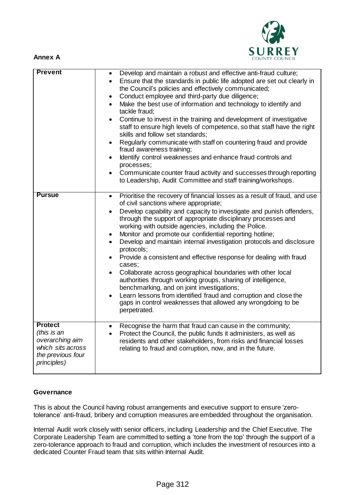



| <b>Prevent</b>                                                                                            | Develop and maintain a robust and effective anti-fraud culture;<br>$\bullet$<br>Ensure that the standards in public life adopted are set out clearly in<br>$\bullet$<br>the Council's policies and effectively communicated;<br>Conduct employee and third-party due diligence;<br>$\bullet$<br>Make the best use of information and technology to identify and<br>$\bullet$<br>tackle fraud:<br>Continue to invest in the training and development of investigative<br>$\bullet$<br>staff to ensure high levels of competence, so that staff have the right<br>skills and follow set standards;<br>Regularly communicate with staff on countering fraud and provide<br>$\bullet$<br>fraud awareness training;<br>Identify control weaknesses and enhance fraud controls and<br>$\bullet$<br>processes;<br>Communicate counter fraud activity and successes through reporting<br>to Leadership, Audit Committee and staff training/workshops.                       |
|-----------------------------------------------------------------------------------------------------------|---------------------------------------------------------------------------------------------------------------------------------------------------------------------------------------------------------------------------------------------------------------------------------------------------------------------------------------------------------------------------------------------------------------------------------------------------------------------------------------------------------------------------------------------------------------------------------------------------------------------------------------------------------------------------------------------------------------------------------------------------------------------------------------------------------------------------------------------------------------------------------------------------------------------------------------------------------------------|
| <b>Pursue</b>                                                                                             | Prioritise the recovery of financial losses as a result of fraud, and use<br>$\bullet$<br>of civil sanctions where appropriate;<br>Develop capability and capacity to investigate and punish offenders,<br>$\bullet$<br>through the support of appropriate disciplinary processes and<br>working with outside agencies, including the Police.<br>Monitor and promote our confidential reporting hotline;<br>$\bullet$<br>Develop and maintain internal investigation protocols and disclosure<br>$\bullet$<br>protocols;<br>Provide a consistent and effective response for dealing with fraud<br>$\bullet$<br>cases;<br>Collaborate across geographical boundaries with other local<br>$\bullet$<br>authorities through working groups, sharing of intelligence,<br>benchmarking, and on joint investigations;<br>Learn lessons from identified fraud and corruption and close the<br>gaps in control weaknesses that allowed any wrongdoing to be<br>perpetrated. |
| <b>Protect</b><br>(this is an<br>overarching aim<br>which sits across<br>the previous four<br>principles) | Recognise the harm that fraud can cause in the community;<br>$\bullet$<br>Protect the Council, the public funds it administers, as well as<br>$\bullet$<br>residents and other stakeholders, from risks and financial losses<br>relating to fraud and corruption, now, and in the future.                                                                                                                                                                                                                                                                                                                                                                                                                                                                                                                                                                                                                                                                           |

### **Governance**

This is about the Council having robust arrangements and executive support to ensure 'zerotolerance' anti-fraud, bribery and corruption measures are embedded throughout the organisation.

Internal Audit work closely with senior officers, including Leadership and the Chief Executive. The Corporate Leadership Team are committed to setting a 'tone from the top' through the support of a zero-tolerance approach to fraud and corruption, which includes the investment of resources into a dedicated Counter Fraud team that sits within Internal Audit.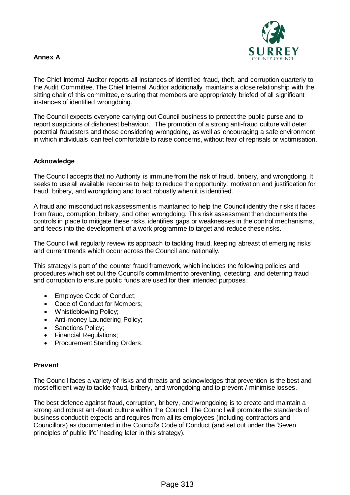

The Chief Internal Auditor reports all instances of identified fraud, theft, and corruption quarterly to the Audit Committee. The Chief Internal Auditor additionally maintains a close relationship with the sitting chair of this committee, ensuring that members are appropriately briefed of all significant instances of identified wrongdoing.

The Council expects everyone carrying out Council business to protect the public purse and to report suspicions of dishonest behaviour. The promotion of a strong anti-fraud culture will deter potential fraudsters and those considering wrongdoing, as well as encouraging a safe environment in which individuals can feel comfortable to raise concerns, without fear of reprisals or victimisation.

### **Acknowledge**

The Council accepts that no Authority is immune from the risk of fraud, bribery, and wrongdoing. It seeks to use all available recourse to help to reduce the opportunity, motivation and justification for fraud, bribery, and wrongdoing and to act robustly when it is identified.

A fraud and misconduct risk assessment is maintained to help the Council identify the risks it faces from fraud, corruption, bribery, and other wrongdoing. This risk assessment then documents the controls in place to mitigate these risks, identifies gaps or weaknesses in the control mechanisms, and feeds into the development of a work programme to target and reduce these risks.

The Council will regularly review its approach to tackling fraud, keeping abreast of emerging risks and current trends which occur across the Council and nationally.

This strategy is part of the counter fraud framework, which includes the following policies and procedures which set out the Council's commitment to preventing, detecting, and deterring fraud and corruption to ensure public funds are used for their intended purposes:

- Employee Code of Conduct;
- Code of Conduct for Members;
- Whistleblowing Policy;
- Anti-money Laundering Policy;
- Sanctions Policy;
- Financial Regulations;
- Procurement Standing Orders.

### **Prevent**

The Council faces a variety of risks and threats and acknowledges that prevention is the best and most efficient way to tackle fraud, bribery, and wrongdoing and to prevent / minimise losses.

The best defence against fraud, corruption, bribery, and wrongdoing is to create and maintain a strong and robust anti-fraud culture within the Council. The Council will promote the standards of business conduct it expects and requires from all its employees (including contractors and Councillors) as documented in the Council's Code of Conduct (and set out under the 'Seven principles of public life' heading later in this strategy).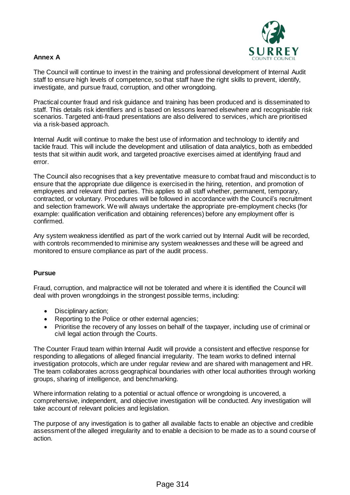

The Council will continue to invest in the training and professional development of Internal Audit staff to ensure high levels of competence, so that staff have the right skills to prevent, identify, investigate, and pursue fraud, corruption, and other wrongdoing.

Practical counter fraud and risk guidance and training has been produced and is disseminated to staff. This details risk identifiers and is based on lessons learned elsewhere and recognisable risk scenarios. Targeted anti-fraud presentations are also delivered to services, which are prioritised via a risk-based approach.

Internal Audit will continue to make the best use of information and technology to identify and tackle fraud. This will include the development and utilisation of data analytics, both as embedded tests that sit within audit work, and targeted proactive exercises aimed at identifying fraud and error.

The Council also recognises that a key preventative measure to combat fraud and misconduct is to ensure that the appropriate due diligence is exercised in the hiring, retention, and promotion of employees and relevant third parties. This applies to all staff whether, permanent, temporary, contracted, or voluntary. Procedures will be followed in accordance with the Council's recruitment and selection framework. We will always undertake the appropriate pre-employment checks (for example: qualification verification and obtaining references) before any employment offer is confirmed.

Any system weakness identified as part of the work carried out by Internal Audit will be recorded, with controls recommended to minimise any system weaknesses and these will be agreed and monitored to ensure compliance as part of the audit process.

### **Pursue**

Fraud, corruption, and malpractice will not be tolerated and where it is identified the Council will deal with proven wrongdoings in the strongest possible terms, including:

- Disciplinary action;
- Reporting to the Police or other external agencies;
- Prioritise the recovery of any losses on behalf of the taxpayer, including use of criminal or civil legal action through the Courts.

The Counter Fraud team within Internal Audit will provide a consistent and effective response for responding to allegations of alleged financial irregularity. The team works to defined internal investigation protocols, which are under regular review and are shared with management and HR. The team collaborates across geographical boundaries with other local authorities through working groups, sharing of intelligence, and benchmarking.

Where information relating to a potential or actual offence or wrongdoing is uncovered, a comprehensive, independent, and objective investigation will be conducted. Any investigation will take account of relevant policies and legislation.

The purpose of any investigation is to gather all available facts to enable an objective and credible assessment of the alleged irregularity and to enable a decision to be made as to a sound course of action.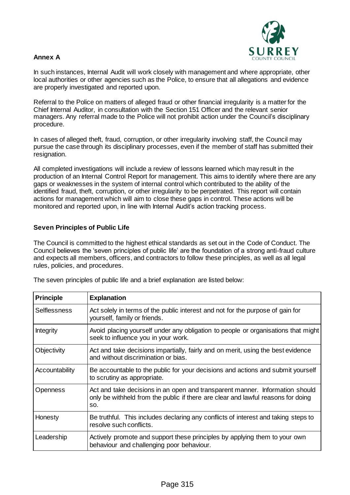

In such instances, Internal Audit will work closely with management and where appropriate, other local authorities or other agencies such as the Police, to ensure that all allegations and evidence are properly investigated and reported upon.

Referral to the Police on matters of alleged fraud or other financial irregularity is a matter for the Chief Internal Auditor, in consultation with the Section 151 Officer and the relevant senior managers. Any referral made to the Police will not prohibit action under the Council's disciplinary procedure.

In cases of alleged theft, fraud, corruption, or other irregularity involving staff, the Council may pursue the case through its disciplinary processes, even if the member of staff has submitted their resignation.

All completed investigations will include a review of lessons learned which may result in the production of an Internal Control Report for management. This aims to identify where there are any gaps or weaknesses in the system of internal control which contributed to the ability of the identified fraud, theft, corruption, or other irregularity to be perpetrated. This report will contain actions for management which will aim to close these gaps in control. These actions will be monitored and reported upon, in line with Internal Audit's action tracking process.

### **Seven Principles of Public Life**

The Council is committed to the highest ethical standards as set out in the Code of Conduct. The Council believes the 'seven principles of public life' are the foundation of a strong anti-fraud culture and expects all members, officers, and contractors to follow these principles, as well as all legal rules, policies, and procedures.

| <b>Principle</b>    | <b>Explanation</b>                                                                                                                                                      |
|---------------------|-------------------------------------------------------------------------------------------------------------------------------------------------------------------------|
| <b>Selflessness</b> | Act solely in terms of the public interest and not for the purpose of gain for<br>yourself, family or friends.                                                          |
| <b>Integrity</b>    | Avoid placing yourself under any obligation to people or organisations that might<br>seek to influence you in your work.                                                |
| Objectivity         | Act and take decisions impartially, fairly and on merit, using the best evidence<br>and without discrimination or bias.                                                 |
| Accountability      | Be accountable to the public for your decisions and actions and submit yourself<br>to scrutiny as appropriate.                                                          |
| Openness            | Act and take decisions in an open and transparent manner. Information should<br>only be withheld from the public if there are clear and lawful reasons for doing<br>SO. |
| Honesty             | Be truthful. This includes declaring any conflicts of interest and taking steps to<br>resolve such conflicts.                                                           |
| Leadership          | Actively promote and support these principles by applying them to your own<br>behaviour and challenging poor behaviour.                                                 |

The seven principles of public life and a brief explanation are listed below: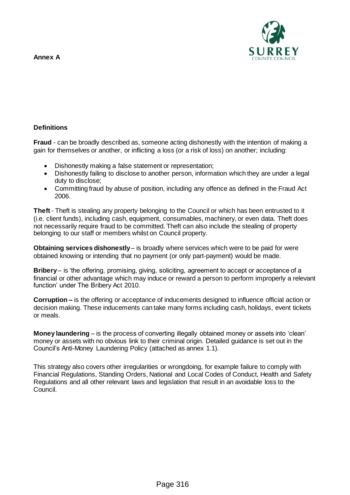

### **Definitions**

**Fraud** - can be broadly described as, someone acting dishonestly with the intention of making a gain for themselves or another, or inflicting a loss (or a risk of loss) on another; including:

- Dishonestly making a false statement or representation;
- Dishonestly failing to disclose to another person, information which they are under a legal duty to disclose;
- Committing fraud by abuse of position, including any offence as defined in the Fraud Act 2006.

**Theft** - Theft is stealing any property belonging to the Council or which has been entrusted to it (i.e. client funds), including cash, equipment, consumables, machinery, or even data. Theft does not necessarily require fraud to be committed. Theft can also include the stealing of property belonging to our staff or members whilst on Council property.

**Obtaining services dishonestly** – is broadly where services which were to be paid for were obtained knowing or intending that no payment (or only part-payment) would be made.

**Bribery** – is 'the offering, promising, giving, soliciting, agreement to accept or acceptance of a financial or other advantage which may induce or reward a person to perform improperly a relevant function' under The Bribery Act 2010.

**Corruption –** is the offering or acceptance of inducements designed to influence official action or decision making. These inducements can take many forms including cash, holidays, event tickets or meals.

**Money laundering** – is the process of converting illegally obtained money or assets into 'clean' money or assets with no obvious link to their criminal origin. Detailed guidance is set out in the Council's Anti-Money Laundering Policy (attached as annex 1.1).

This strategy also covers other irregularities or wrongdoing, for example failure to comply with Financial Regulations, Standing Orders, National and Local Codes of Conduct, Health and Safety Regulations and all other relevant laws and legislation that result in an avoidable loss to the Council.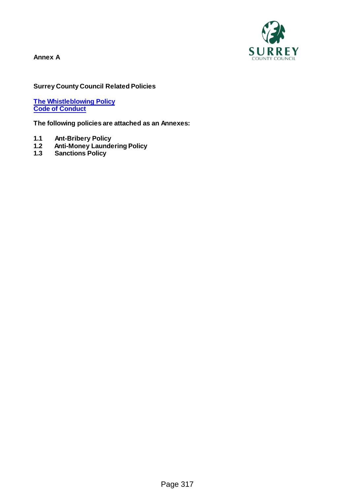

### **Surrey County Council Related Policies**

**[The Whistleblowing Policy](https://snet.surreycc.gov.uk/hr/staff-performance/staff-performance-policies/whistle-blowing) [Code of Conduct](https://snet.surreycc.gov.uk/hr/staff-performance/staff-performance-policies/code-of-conduct)**

**The following policies are attached as an Annexes:**

- **1.1 Ant-Bribery Policy**
- **1.2 Anti-Money Laundering Policy**
- **1.3 Sanctions Policy**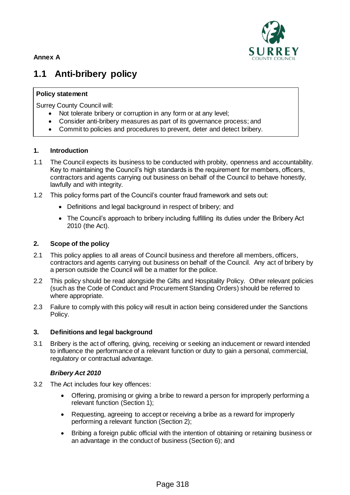

### **1.1 Anti-bribery policy**

### **Policy statement**

Surrey County Council will:

- Not tolerate bribery or corruption in any form or at any level;
- Consider anti-bribery measures as part of its governance process; and
- Commit to policies and procedures to prevent, deter and detect bribery.

### **1. Introduction**

- 1.1 The Council expects its business to be conducted with probity, openness and accountability. Key to maintaining the Council's high standards is the requirement for members, officers, contractors and agents carrying out business on behalf of the Council to behave honestly, lawfully and with integrity.
- 1.2 This policy forms part of the Council's counter fraud framework and sets out:
	- Definitions and legal background in respect of bribery; and
	- The Council's approach to bribery including fulfilling its duties under the Bribery Act 2010 (the Act).

### **2. Scope of the policy**

- 2.1 This policy applies to all areas of Council business and therefore all members, officers, contractors and agents carrying out business on behalf of the Council. Any act of bribery by a person outside the Council will be a matter for the police.
- 2.2 This policy should be read alongside the Gifts and Hospitality Policy. Other relevant policies (such as the Code of Conduct and Procurement Standing Orders) should be referred to where appropriate.
- 2.3 Failure to comply with this policy will result in action being considered under the Sanctions Policy.

### **3. Definitions and legal background**

3.1 Bribery is the act of offering, giving, receiving or seeking an inducement or reward intended to influence the performance of a relevant function or duty to gain a personal, commercial, regulatory or contractual advantage.

### *Bribery Act 2010*

- 3.2 The Act includes four key offences:
	- Offering, promising or giving a bribe to reward a person for improperly performing a relevant function (Section 1);
	- Requesting, agreeing to accept or receiving a bribe as a reward for improperly performing a relevant function (Section 2);
	- Bribing a foreign public official with the intention of obtaining or retaining business or an advantage in the conduct of business (Section 6); and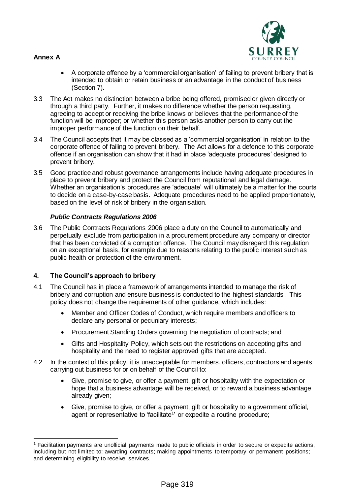$\overline{a}$ 



- A corporate offence by a 'commercial organisation' of failing to prevent bribery that is intended to obtain or retain business or an advantage in the conduct of business (Section 7).
- 3.3 The Act makes no distinction between a bribe being offered, promised or given directly or through a third party. Further, it makes no difference whether the person requesting, agreeing to accept or receiving the bribe knows or believes that the performance of the function will be improper; or whether this person asks another person to carry out the improper performance of the function on their behalf.
- 3.4 The Council accepts that it may be classed as a 'commercial organisation' in relation to the corporate offence of failing to prevent bribery. The Act allows for a defence to this corporate offence if an organisation can show that it had in place 'adequate procedures' designed to prevent bribery.
- 3.5 Good practice and robust governance arrangements include having adequate procedures in place to prevent bribery and protect the Council from reputational and legal damage. Whether an organisation's procedures are 'adequate' will ultimately be a matter for the courts to decide on a case-by-case basis. Adequate procedures need to be applied proportionately, based on the level of risk of bribery in the organisation.

### *Public Contracts Regulations 2006*

3.6 The Public Contracts Regulations 2006 place a duty on the Council to automatically and perpetually exclude from participation in a procurement procedure any company or director that has been convicted of a corruption offence. The Council may disregard this regulation on an exceptional basis, for example due to reasons relating to the public interest such as public health or protection of the environment.

### **4. The Council's approach to bribery**

- 4.1 The Council has in place a framework of arrangements intended to manage the risk of bribery and corruption and ensure business is conducted to the highest standards. This policy does not change the requirements of other guidance, which includes:
	- Member and Officer Codes of Conduct, which require members and officers to declare any personal or pecuniary interests;
	- Procurement Standing Orders governing the negotiation of contracts; and
	- Gifts and Hospitality Policy, which sets out the restrictions on accepting gifts and hospitality and the need to register approved gifts that are accepted.
- 4.2 In the context of this policy, it is unacceptable for members, officers, contractors and agents carrying out business for or on behalf of the Council to:
	- Give, promise to give, or offer a payment, gift or hospitality with the expectation or hope that a business advantage will be received, or to reward a business advantage already given;
	- Give, promise to give, or offer a payment, gift or hospitality to a government official, agent or representative to 'facilitate<sup>1</sup>' or expedite a routine procedure;

<sup>1</sup> Facilitation payments are unofficial payments made to public officials in order to secure or expedite actions, including but not limited to: awarding contracts; making appointments to temporary or permanent positions; and determining eligibility to receive services.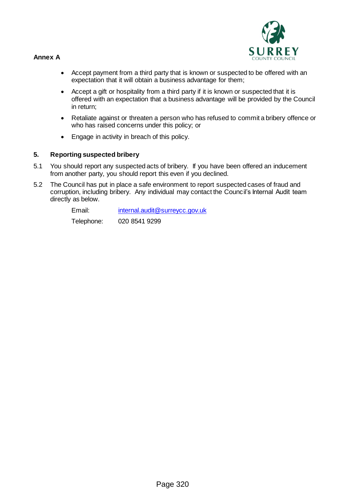

- Accept payment from a third party that is known or suspected to be offered with an expectation that it will obtain a business advantage for them;
- Accept a gift or hospitality from a third party if it is known or suspected that it is offered with an expectation that a business advantage will be provided by the Council in return;
- Retaliate against or threaten a person who has refused to commit a bribery offence or who has raised concerns under this policy; or
- Engage in activity in breach of this policy.

### **5. Reporting suspected bribery**

- 5.1 You should report any suspected acts of bribery. If you have been offered an inducement from another party, you should report this even if you declined.
- 5.2 The Council has put in place a safe environment to report suspected cases of fraud and corruption, including bribery. Any individual may contact the Council's Internal Audit team directly as below.

Email: [internal.audit@surreycc.gov.uk](mailto:internal.audit@surreycc.gov.uk) Telephone: 020 8541 9299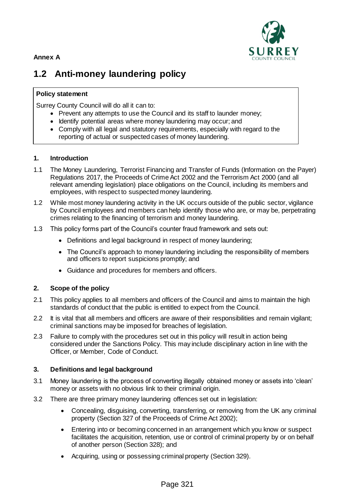

### **1.2 Anti-money laundering policy**

### **Policy statement**

Surrey County Council will do all it can to:

- Prevent any attempts to use the Council and its staff to launder money;
- Identify potential areas where money laundering may occur; and
- Comply with all legal and statutory requirements, especially with regard to the reporting of actual or suspected cases of money laundering.

### **1. Introduction**

- 1.1 The Money Laundering, Terrorist Financing and Transfer of Funds (Information on the Payer) Regulations 2017, the Proceeds of Crime Act 2002 and the Terrorism Act 2000 (and all relevant amending legislation) place obligations on the Council, including its members and employees, with respect to suspected money laundering.
- 1.2 While most money laundering activity in the UK occurs outside of the public sector, vigilance by Council employees and members can help identify those who are, or may be, perpetrating crimes relating to the financing of terrorism and money laundering.
- 1.3 This policy forms part of the Council's counter fraud framework and sets out:
	- Definitions and legal background in respect of money laundering;
	- The Council's approach to money laundering including the responsibility of members and officers to report suspicions promptly; and
	- Guidance and procedures for members and officers.

### **2. Scope of the policy**

- 2.1 This policy applies to all members and officers of the Council and aims to maintain the high standards of conduct that the public is entitled to expect from the Council.
- 2.2 It is vital that all members and officers are aware of their responsibilities and remain vigilant; criminal sanctions may be imposed for breaches of legislation.
- 2.3 Failure to comply with the procedures set out in this policy will result in action being considered under the Sanctions Policy. This may include disciplinary action in line with the Officer, or Member, Code of Conduct.

### **3. Definitions and legal background**

- 3.1 Money laundering is the process of converting illegally obtained money or assets into 'clean' money or assets with no obvious link to their criminal origin.
- 3.2 There are three primary money laundering offences set out in legislation:
	- Concealing, disguising, converting, transferring, or removing from the UK any criminal property (Section 327 of the Proceeds of Crime Act 2002);
	- Entering into or becoming concerned in an arrangement which you know or suspect facilitates the acquisition, retention, use or control of criminal property by or on behalf of another person (Section 328); and
	- Acquiring, using or possessing criminal property (Section 329).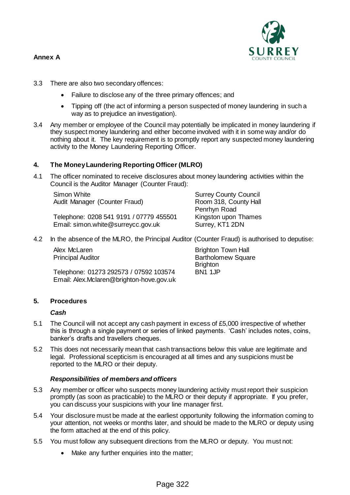

- 3.3 There are also two secondary offences:
	- Failure to disclose any of the three primary offences; and
	- Tipping off (the act of informing a person suspected of money laundering in such a way as to prejudice an investigation).
- 3.4 Any member or employee of the Council may potentially be implicated in money laundering if they suspect money laundering and either become involved with it in some way and/or do nothing about it. The key requirement is to promptly report any suspected money laundering activity to the Money Laundering Reporting Officer.

### **4. The Money Laundering Reporting Officer (MLRO)**

4.1 The officer nominated to receive disclosures about money laundering activities within the Council is the Auditor Manager (Counter Fraud):

Simon White Audit Manager (Counter Fraud)

Telephone: 0208 541 9191 / 07779 455501 Email: simon.white@surreycc.gov.uk

Surrey County Council Room 318, County Hall Penrhyn Road Kingston upon Thames Surrey, KT1 2DN

4.2 In the absence of the MLRO, the Principal Auditor (Counter Fraud) is authorised to deputise:

| Alex McLaren                             | <b>Brighton Town Hall</b> |
|------------------------------------------|---------------------------|
| <b>Principal Auditor</b>                 | <b>Bartholomew Square</b> |
|                                          | <b>Brighton</b>           |
| Telephone: 01273 292573 / 07592 103574   | BN <sub>1</sub> 1JP       |
| Email: Alex.Mclaren@brighton-hove.gov.uk |                           |

### **5. Procedures**

### *Cash*

- 5.1 The Council will not accept any cash payment in excess of £5,000 irrespective of whether this is through a single payment or series of linked payments. 'Cash' includes notes, coins, banker's drafts and travellers cheques.
- 5.2 This does not necessarily mean that cash transactions below this value are legitimate and legal. Professional scepticism is encouraged at all times and any suspicions must be reported to the MLRO or their deputy.

### *Responsibilities of members and officers*

- 5.3 Any member or officer who suspects money laundering activity must report their suspicion promptly (as soon as practicable) to the MLRO or their deputy if appropriate. If you prefer, you can discuss your suspicions with your line manager first.
- 5.4 Your disclosure must be made at the earliest opportunity following the information coming to your attention, not weeks or months later, and should be made to the MLRO or deputy using the form attached at the end of this policy.
- 5.5 You must follow any subsequent directions from the MLRO or deputy. You must not:
	- Make any further enquiries into the matter;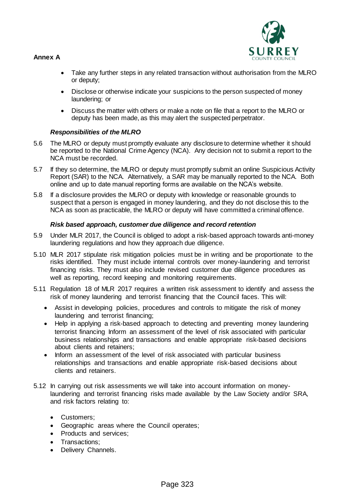

- Take any further steps in any related transaction without authorisation from the MLRO or deputy;
- Disclose or otherwise indicate your suspicions to the person suspected of money laundering; or
- Discuss the matter with others or make a note on file that a report to the MLRO or deputy has been made, as this may alert the suspected perpetrator.

### *Responsibilities of the MLRO*

- 5.6 The MLRO or deputy must promptly evaluate any disclosure to determine whether it should be reported to the National Crime Agency (NCA). Any decision not to submit a report to the NCA must be recorded.
- 5.7 If they so determine, the MLRO or deputy must promptly submit an online Suspicious Activity Report (SAR) to the NCA. Alternatively, a SAR may be manually reported to the NCA. Both online and up to date manual reporting forms are available on the NCA's website.
- 5.8 If a disclosure provides the MLRO or deputy with knowledge or reasonable grounds to suspect that a person is engaged in money laundering, and they do not disclose this to the NCA as soon as practicable, the MLRO or deputy will have committed a criminal offence.

### *Risk based approach, customer due diligence and record retention*

- 5.9 Under MLR 2017, the Council is obliged to adopt a risk-based approach towards anti-money laundering regulations and how they approach due diligence.
- 5.10 MLR 2017 stipulate risk mitigation policies must be in writing and be proportionate to the risks identified. They must include internal controls over money-laundering and terrorist financing risks. They must also include revised customer due diligence procedures as well as reporting, record keeping and monitoring requirements.
- 5.11 Regulation 18 of MLR 2017 requires a written risk assessment to identify and assess the risk of money laundering and terrorist financing that the Council faces. This will:
	- Assist in developing policies, procedures and controls to mitigate the risk of money laundering and terrorist financing;
	- Help in applying a risk-based approach to detecting and preventing money laundering terrorist financing Inform an assessment of the level of risk associated with particular business relationships and transactions and enable appropriate risk-based decisions about clients and retainers;
	- Inform an assessment of the level of risk associated with particular business relationships and transactions and enable appropriate risk-based decisions about clients and retainers.
- 5.12 In carrying out risk assessments we will take into account information on moneylaundering and terrorist financing risks made available by the Law Society and/or SRA, and risk factors relating to:
	- Customers:
	- Geographic areas where the Council operates;
	- Products and services:
	- Transactions:
	- Delivery Channels.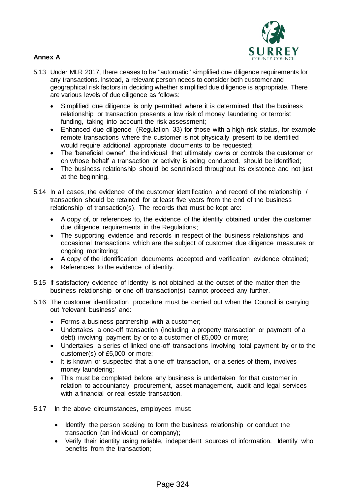

- 5.13 Under MLR 2017, there ceases to be "automatic" simplified due diligence requirements for any transactions. Instead, a relevant person needs to consider both customer and geographical risk factors in deciding whether simplified due diligence is appropriate. There are various levels of due diligence as follows:
	- Simplified due diligence is only permitted where it is determined that the business relationship or transaction presents a low risk of money laundering or terrorist funding, taking into account the risk assessment;
	- Enhanced due diligence' (Regulation 33) for those with a high-risk status, for example remote transactions where the customer is not physically present to be identified would require additional appropriate documents to be requested:
	- The 'beneficial owner', the individual that ultimately owns or controls the customer or on whose behalf a transaction or activity is being conducted, should be identified;
	- The business relationship should be scrutinised throughout its existence and not just at the beginning.
- 5.14 In all cases, the evidence of the customer identification and record of the relationship / transaction should be retained for at least five years from the end of the business relationship of transaction(s). The records that must be kept are:
	- A copy of, or references to, the evidence of the identity obtained under the customer due diligence requirements in the Regulations;
	- The supporting evidence and records in respect of the business relationships and occasional transactions which are the subject of customer due diligence measures or ongoing monitoring;
	- A copy of the identification documents accepted and verification evidence obtained;
	- References to the evidence of identity.
- 5.15 If satisfactory evidence of identity is not obtained at the outset of the matter then the business relationship or one off transaction(s) cannot proceed any further.
- 5.16 The customer identification procedure must be carried out when the Council is carrying out 'relevant business' and:
	- Forms a business partnership with a customer;
	- Undertakes a one-off transaction (including a property transaction or payment of a debt) involving payment by or to a customer of £5,000 or more;
	- Undertakes a series of linked one-off transactions involving total payment by or to the customer(s) of £5,000 or more;
	- It is known or suspected that a one-off transaction, or a series of them, involves money laundering;
	- This must be completed before any business is undertaken for that customer in relation to accountancy, procurement, asset management, audit and legal services with a financial or real estate transaction.
- 5.17 In the above circumstances, employees must:
	- Identify the person seeking to form the business relationship or conduct the transaction (an individual or company);
	- Verify their identity using reliable, independent sources of information, Identify who benefits from the transaction;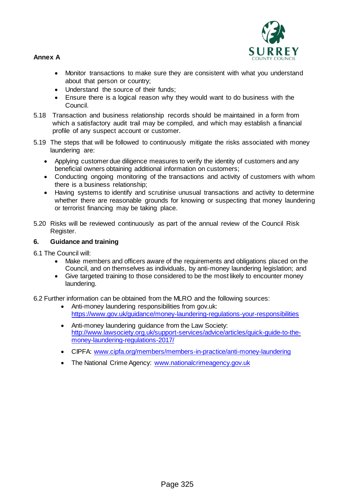

- Monitor transactions to make sure they are consistent with what you understand about that person or country;
- Understand the source of their funds;
- Ensure there is a logical reason why they would want to do business with the Council.
- 5.18 Transaction and business relationship records should be maintained in a form from which a satisfactory audit trail may be compiled, and which may establish a financial profile of any suspect account or customer.
- 5.19 The steps that will be followed to continuously mitigate the risks associated with money laundering are:
	- Applying customer due diligence measures to verify the identity of customers and any beneficial owners obtaining additional information on customers;
	- Conducting ongoing monitoring of the transactions and activity of customers with whom there is a business relationship;
	- Having systems to identify and scrutinise unusual transactions and activity to determine whether there are reasonable grounds for knowing or suspecting that money laundering or terrorist financing may be taking place.
- 5.20 Risks will be reviewed continuously as part of the annual review of the Council Risk Register.

### **6. Guidance and training**

- 6.1 The Council will:
	- Make members and officers aware of the requirements and obligations placed on the Council, and on themselves as individuals, by anti-money laundering legislation; and
	- Give targeted training to those considered to be the most likely to encounter money laundering.
- 6.2 Further information can be obtained from the MLRO and the following sources:
	- Anti-money laundering responsibilities from gov.uk: <https://www.gov.uk/guidance/money-laundering-regulations-your-responsibilities>
	- Anti-money laundering guidance from the Law Society: [http://www.lawsociety.org.uk/support-services/advice/articles/quick-guide-to-the](http://www.lawsociety.org.uk/support-services/advice/articles/quick-guide-to-the-money-laundering-regulations-2017/)[money-laundering-regulations-2017/](http://www.lawsociety.org.uk/support-services/advice/articles/quick-guide-to-the-money-laundering-regulations-2017/)
	- CIPFA: [www.cipfa.org/members/members-in-practice/anti-money-laundering](http://www.cipfa.org/members/members-in-practice/anti-money-laundering)
	- The National Crime Agency: [www.nationalcrimeagency.gov.uk](http://www.nationalcrimeagency.gov.uk/)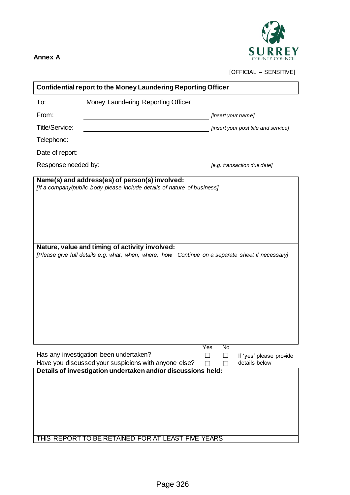

[OFFICIAL – SENSITIVE]

| <b>Confidential report to the Money Laundering Reporting Officer</b>                                                                                                                                                           |                                                                                   |  |  |  |  |  |
|--------------------------------------------------------------------------------------------------------------------------------------------------------------------------------------------------------------------------------|-----------------------------------------------------------------------------------|--|--|--|--|--|
| Money Laundering Reporting Officer<br>To:                                                                                                                                                                                      |                                                                                   |  |  |  |  |  |
| From:                                                                                                                                                                                                                          | [insert your name]                                                                |  |  |  |  |  |
| <b>Title/Service:</b>                                                                                                                                                                                                          | [insert your post title and service]                                              |  |  |  |  |  |
| Telephone:                                                                                                                                                                                                                     |                                                                                   |  |  |  |  |  |
| Date of report:                                                                                                                                                                                                                |                                                                                   |  |  |  |  |  |
| Response needed by:                                                                                                                                                                                                            | [e.g. transaction due date]                                                       |  |  |  |  |  |
| [If a company/public body please include details of nature of business]<br>Nature, value and timing of activity involved:<br>[Please give full details e.g. what, when, where, how. Continue on a separate sheet if necessary] |                                                                                   |  |  |  |  |  |
|                                                                                                                                                                                                                                |                                                                                   |  |  |  |  |  |
| Has any investigation been undertaken?<br>Have you discussed your suspicions with anyone else?                                                                                                                                 | Yes<br>No<br>If 'yes' please provide<br>$\overline{\phantom{a}}$<br>details below |  |  |  |  |  |
| Details of investigation undertaken and/or discussions held:<br>THIS REPORT TO BE RETAINED FOR AT LEAST FIVE YEARS                                                                                                             |                                                                                   |  |  |  |  |  |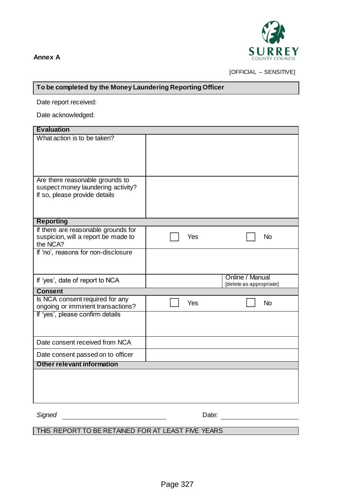

[OFFICIAL – SENSITIVE]

### **To be completed by the Money Laundering Reporting Officer**

Date report received:

Date acknowledged:

| <b>Evaluation</b>                                                     |     |                         |           |
|-----------------------------------------------------------------------|-----|-------------------------|-----------|
| What action is to be taken?                                           |     |                         |           |
|                                                                       |     |                         |           |
|                                                                       |     |                         |           |
|                                                                       |     |                         |           |
| Are there reasonable grounds to<br>suspect money laundering activity? |     |                         |           |
| If so, please provide details                                         |     |                         |           |
|                                                                       |     |                         |           |
| <b>Reporting</b>                                                      |     |                         |           |
| If there are reasonable grounds for                                   |     |                         |           |
| suspicion, will a report be made to<br>the NCA?                       | Yes |                         | <b>No</b> |
| If 'no', reasons for non-disclosure                                   |     |                         |           |
|                                                                       |     |                         |           |
|                                                                       |     | Online / Manual         |           |
| If 'yes', date of report to NCA                                       |     | [delete as appropriate] |           |
| <b>Consent</b>                                                        |     |                         |           |
| Is NCA consent required for any<br>ongoing or imminent transactions?  | Yes |                         | <b>No</b> |
| If 'yes', please confirm details                                      |     |                         |           |
|                                                                       |     |                         |           |
| Date consent received from NCA                                        |     |                         |           |
|                                                                       |     |                         |           |
| Date consent passed on to officer                                     |     |                         |           |
| Other relevant information                                            |     |                         |           |
|                                                                       |     |                         |           |
|                                                                       |     |                         |           |
|                                                                       |     |                         |           |
|                                                                       |     |                         |           |

**Signed** Date:

THIS REPORT TO BE RETAINED FOR AT LEAST FIVE YEARS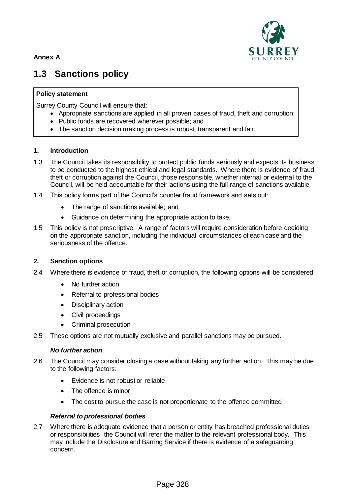

### **1.3 Sanctions policy**

### **Policy statement**

Surrey County Council will ensure that:

- Appropriate sanctions are applied in all proven cases of fraud, theft and corruption;
- Public funds are recovered wherever possible; and
- The sanction decision making process is robust, transparent and fair.

### **1. Introduction**

- 1.3 The Council takes its responsibility to protect public funds seriously and expects its business to be conducted to the highest ethical and legal standards. Where there is evidence of fraud, theft or corruption against the Council, those responsible, whether internal or external to the Council, will be held accountable for their actions using the full range of sanctions available.
- 1.4 This policy forms part of the Council's counter fraud framework and sets out:
	- The range of sanctions available; and
	- Guidance on determining the appropriate action to take.
- 1.5 This policy is not prescriptive. A range of factors will require consideration before deciding on the appropriate sanction, including the individual circumstances of each case and the seriousness of the offence.

### **2. Sanction options**

- 2.4 Where there is evidence of fraud, theft or corruption, the following options will be considered:
	- No further action
	- Referral to professional bodies
	- Disciplinary action
	- Civil proceedings
	- Criminal prosecution
- 2.5 These options are not mutually exclusive and parallel sanctions may be pursued.

#### *No further action*

- 2.6 The Council may consider closing a case without taking any further action. This may be due to the following factors:
	- Evidence is not robust or reliable
	- The offence is minor
	- The cost to pursue the case is not proportionate to the offence committed

### *Referral to professional bodies*

2.7 Where there is adequate evidence that a person or entity has breached professional duties or responsibilities, the Council will refer the matter to the relevant professional body. This may include the Disclosure and Barring Service if there is evidence of a safeguarding concern.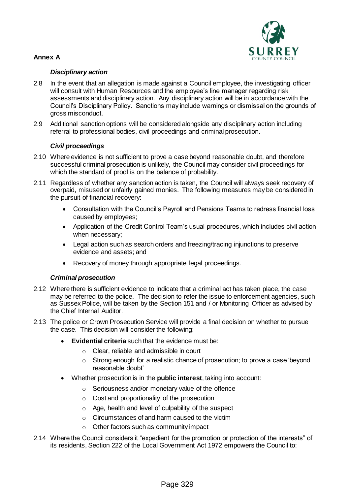

### *Disciplinary action*

- 2.8 In the event that an allegation is made against a Council employee, the investigating officer will consult with Human Resources and the employee's line manager regarding risk assessments and disciplinary action. Any disciplinary action will be in accordance with the Council's Disciplinary Policy. Sanctions may include warnings or dismissal on the grounds of gross misconduct.
- 2.9 Additional sanction options will be considered alongside any disciplinary action including referral to professional bodies, civil proceedings and criminal prosecution.

### *Civil proceedings*

- 2.10 Where evidence is not sufficient to prove a case beyond reasonable doubt, and therefore successful criminal prosecution is unlikely, the Council may consider civil proceedings for which the standard of proof is on the balance of probability.
- 2.11 Regardless of whether any sanction action is taken, the Council will always seek recovery of overpaid, misused or unfairly gained monies. The following measures may be considered in the pursuit of financial recovery:
	- Consultation with the Council's Payroll and Pensions Teams to redress financial loss caused by employees;
	- Application of the Credit Control Team's usual procedures, which includes civil action when necessary;
	- Legal action such as search orders and freezing/tracing injunctions to preserve evidence and assets; and
	- Recovery of money through appropriate legal proceedings.

### *Criminal prosecution*

- 2.12 Where there is sufficient evidence to indicate that a criminal act has taken place, the case may be referred to the police. The decision to refer the issue to enforcement agencies, such as Sussex Police, will be taken by the Section 151 and / or Monitoring Officer as advised by the Chief Internal Auditor.
- 2.13 The police or Crown Prosecution Service will provide a final decision on whether to pursue the case. This decision will consider the following:
	- **Evidential criteria** such that the evidence must be:
		- o Clear, reliable and admissible in court
		- o Strong enough for a realistic chance of prosecution; to prove a case 'beyond reasonable doubt'
	- Whether prosecution is in the **public interest**, taking into account:
		- o Seriousness and/or monetary value of the offence
		- $\circ$  Cost and proportionality of the prosecution
		- o Age, health and level of culpability of the suspect
		- o Circumstances of and harm caused to the victim
		- o Other factors such as community impact
- 2.14 Where the Council considers it "expedient for the promotion or protection of the interests" of its residents, Section 222 of the Local Government Act 1972 empowers the Council to: